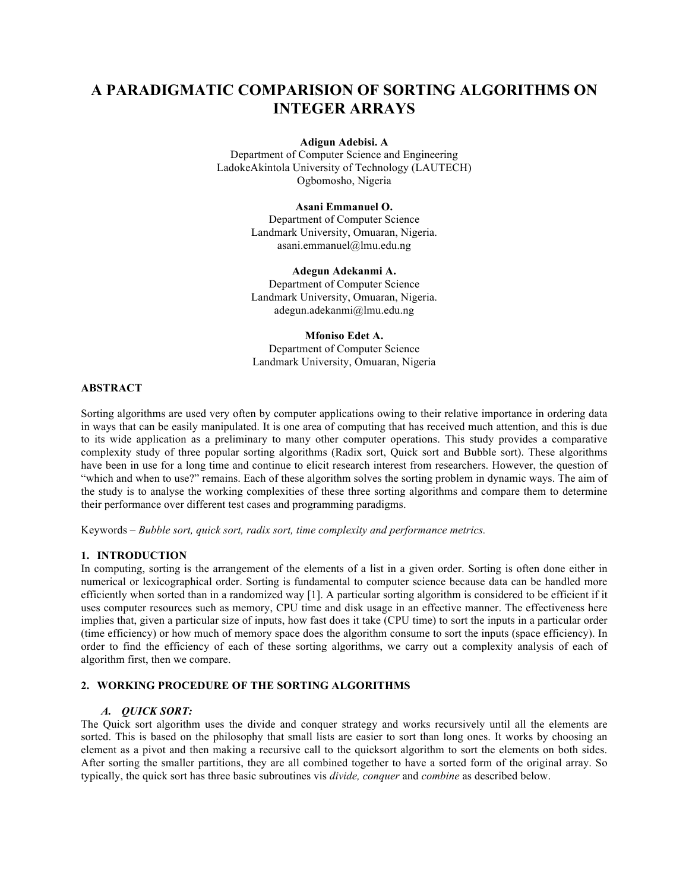# **A PARADIGMATIC COMPARISION OF SORTING ALGORITHMS ON INTEGER ARRAYS**

**Adigun Adebisi. A**

Department of Computer Science and Engineering LadokeAkintola University of Technology (LAUTECH) Ogbomosho, Nigeria

**Asani Emmanuel O.**

Department of Computer Science Landmark University, Omuaran, Nigeria. asani.emmanuel@lmu.edu.ng

**Adegun Adekanmi A.** Department of Computer Science Landmark University, Omuaran, Nigeria. adegun.adekanmi@lmu.edu.ng

**Mfoniso Edet A.** Department of Computer Science Landmark University, Omuaran, Nigeria

## **ABSTRACT**

Sorting algorithms are used very often by computer applications owing to their relative importance in ordering data in ways that can be easily manipulated. It is one area of computing that has received much attention, and this is due to its wide application as a preliminary to many other computer operations. This study provides a comparative complexity study of three popular sorting algorithms (Radix sort, Quick sort and Bubble sort). These algorithms have been in use for a long time and continue to elicit research interest from researchers. However, the question of "which and when to use?" remains. Each of these algorithm solves the sorting problem in dynamic ways. The aim of the study is to analyse the working complexities of these three sorting algorithms and compare them to determine their performance over different test cases and programming paradigms.

Keywords – *Bubble sort, quick sort, radix sort, time complexity and performance metrics.*

# **1. INTRODUCTION**

In computing, sorting is the arrangement of the elements of a list in a given order. Sorting is often done either in numerical or lexicographical order. Sorting is fundamental to computer science because data can be handled more efficiently when sorted than in a randomized way [1]. A particular sorting algorithm is considered to be efficient if it uses computer resources such as memory, CPU time and disk usage in an effective manner. The effectiveness here implies that, given a particular size of inputs, how fast does it take (CPU time) to sort the inputs in a particular order (time efficiency) or how much of memory space does the algorithm consume to sort the inputs (space efficiency). In order to find the efficiency of each of these sorting algorithms, we carry out a complexity analysis of each of algorithm first, then we compare.

# **2. WORKING PROCEDURE OF THE SORTING ALGORITHMS**

# *A. QUICK SORT:*

The Quick sort algorithm uses the divide and conquer strategy and works recursively until all the elements are sorted. This is based on the philosophy that small lists are easier to sort than long ones. It works by choosing an element as a pivot and then making a recursive call to the quicksort algorithm to sort the elements on both sides. After sorting the smaller partitions, they are all combined together to have a sorted form of the original array. So typically, the quick sort has three basic subroutines vis *divide, conquer* and *combine* as described below.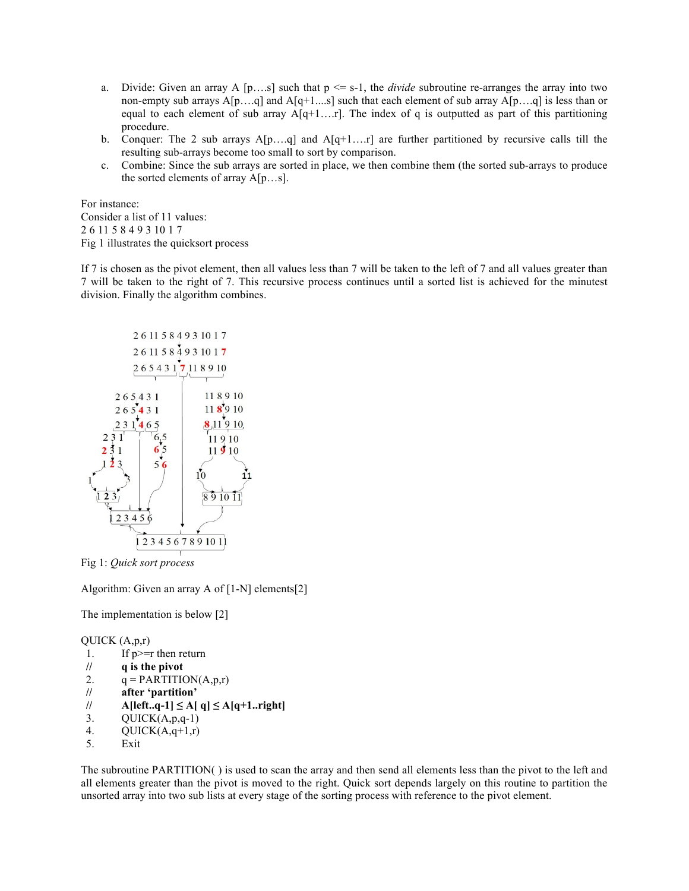- a. Divide: Given an array A  $[p...s]$  such that  $p \le s-1$ , the *divide* subroutine re-arranges the array into two non-empty sub arrays  $A[p...q]$  and  $A[q+1...s]$  such that each element of sub array  $A[p...q]$  is less than or equal to each element of sub array  $A[q+1...r]$ . The index of q is outputted as part of this partitioning procedure.
- b. Conquer: The 2 sub arrays  $A[p...q]$  and  $A[q+1...r]$  are further partitioned by recursive calls till the resulting sub-arrays become too small to sort by comparison.
- c. Combine: Since the sub arrays are sorted in place, we then combine them (the sorted sub-arrays to produce the sorted elements of array A[p…s].

For instance: Consider a list of 11 values: 2 6 11 5 8 4 9 3 10 1 7 Fig 1 illustrates the quicksort process

If 7 is chosen as the pivot element, then all values less than 7 will be taken to the left of 7 and all values greater than 7 will be taken to the right of 7. This recursive process continues until a sorted list is achieved for the minutest division. Finally the algorithm combines.



Fig 1: *Quick sort process*

Algorithm: Given an array A of [1-N] elements[2]

The implementation is below [2]

QUICK (A,p,r)

- 1. If p>=r then return
- **// q is the pivot**
- 2.  $q = PARTITION(A, p, r)$
- **// after 'partition'**
- **// A[left..q-1] ≤ A[ q] ≤ A[q+1..right]**
- 3.  $QUICK(A,p,q-1)$
- 4.  $QUICK(A,q+1,r)$
- 5. Exit

The subroutine PARTITION( ) is used to scan the array and then send all elements less than the pivot to the left and all elements greater than the pivot is moved to the right. Quick sort depends largely on this routine to partition the unsorted array into two sub lists at every stage of the sorting process with reference to the pivot element.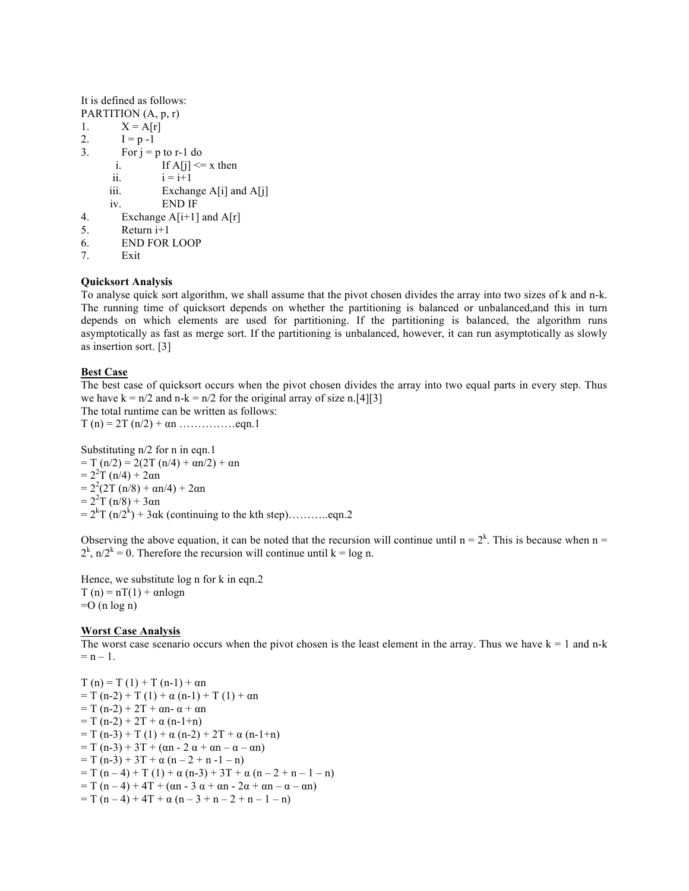It is defined as follows:

PARTITION  $(A, p, r)$ 1.  $X = A[r]$ 2.  $I = p - 1$ 3. For  $j = p$  to r-1 do i. If  $A[j] \leq x$  then ii.  $i = i+1$ iii. Exchange A[i] and A[j] iv. END IF 4. Exchange  $A[i+1]$  and  $A[r]$ 5. Return i+1

- 6. END FOR LOOP
- 7. Exit

#### **Quicksort Analysis**

To analyse quick sort algorithm, we shall assume that the pivot chosen divides the array into two sizes of k and n-k. The running time of quicksort depends on whether the partitioning is balanced or unbalanced,and this in turn depends on which elements are used for partitioning. If the partitioning is balanced, the algorithm runs asymptotically as fast as merge sort. If the partitioning is unbalanced, however, it can run asymptotically as slowly as insertion sort. [3]

# **Best Case**

The best case of quicksort occurs when the pivot chosen divides the array into two equal parts in every step. Thus we have  $k = n/2$  and  $n-k = n/2$  for the original array of size n.[4][3] The total runtime can be written as follows: T (n) =  $2T (n/2) + \alpha n$  …………... eqn. 1

Substituting n/2 for n in eqn.1  $= T (n/2) = 2(2T (n/4) + \alpha n/2) + \alpha n$  $= 2^2 T (n/4) + 2 \alpha n$  $= 2^{2}(2T (n/8) + \alpha n/4) + 2\alpha n$  $= 2^2 T (n/8) + 3 \alpha n$ = 2<sup>k</sup> T (n/2<sup>k</sup> ) + 3αk (continuing to the kth step)………..eqn.2

Observing the above equation, it can be noted that the recursion will continue until  $n = 2<sup>k</sup>$ . This is because when  $n =$  $2^{k}$ , n/ $2^{k}$  = 0. Therefore the recursion will continue until k = log n.

Hence, we substitute log n for k in eqn.2  $T(n) = nT(1) + \alpha n \log n$  $=O$  (n log n)

#### **Worst Case Analysis**

The worst case scenario occurs when the pivot chosen is the least element in the array. Thus we have  $k = 1$  and n-k  $= n - 1$ .

 $T(n) = T(1) + T(n-1) + \alpha n$  $= T (n-2) + T (1) + \alpha (n-1) + T (1) + \alpha n$  $= T (n-2) + 2T + \alpha n - \alpha + \alpha n$  $= T (n-2) + 2T + \alpha (n-1+n)$  $= T (n-3) + T (1) + \alpha (n-2) + 2T + \alpha (n-1+n)$  $= T (n-3) + 3T + (\alpha n - 2 \alpha + \alpha n - \alpha - \alpha n)$  $= T (n-3) + 3T + \alpha (n-2 + n -1 - n)$  $= T (n - 4) + T (1) + \alpha (n - 3) + 3T + \alpha (n - 2 + n - 1 - n)$  $= T (n-4) + 4T + (\alpha n - 3 \alpha + \alpha n - 2\alpha + \alpha n - \alpha - \alpha n)$  $= T (n - 4) + 4T + \alpha (n - 3 + n - 2 + n - 1 - n)$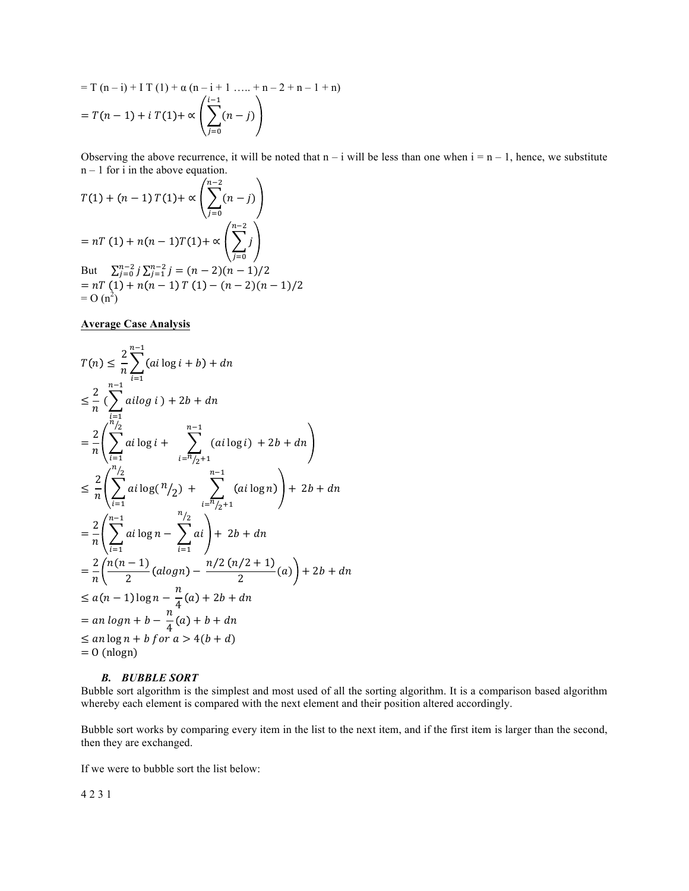$$
= T (n - i) + I T (1) + \alpha (n - i + 1 .... + n - 2 + n - 1 + n)
$$
  
=  $T(n - 1) + i T(1) + \alpha \left( \sum_{j=0}^{i-1} (n - j) \right)$ 

Observing the above recurrence, it will be noted that  $n - i$  will be less than one when  $i = n - 1$ , hence, we substitute  $n - 1$  for i in the above equation.

$$
T(1) + (n - 1) T(1) + \propto \left( \sum_{j=0}^{n-2} (n - j) \right)
$$
  
= nT (1) + n(n - 1)T(1) +  $\propto \left( \sum_{j=0}^{n-2} j \right)$   
But  $\sum_{j=0}^{n-2} j \sum_{j=1}^{n-2} j = (n - 2)(n - 1)/2$   
= nT (1) + n(n - 1) T (1) - (n - 2)(n - 1)/2  
= O (n<sup>2</sup>)

**Average Case Analysis**

$$
T(n) \leq \frac{2}{n} \sum_{i=1}^{n-1} (ai \log i + b) + dn
$$
  
\n
$$
\leq \frac{2}{n} \sum_{i=1}^{n-1} ai \log i + 2b + dn
$$
  
\n
$$
= \frac{2}{n} \left( \sum_{i=1}^{n/2} ai \log i + \sum_{i=n/2+1}^{n-1} (ai \log i) + 2b + dn \right)
$$
  
\n
$$
\leq \frac{2}{n} \left( \sum_{i=1}^{n/2} ai \log (n/2) + \sum_{i=n/2+1}^{n-1} (ai \log n) \right) + 2b + dn
$$
  
\n
$$
= \frac{2}{n} \left( \sum_{i=1}^{n-1} ai \log n - \sum_{i=1}^{n/2} ai \right) + 2b + dn
$$
  
\n
$$
= \frac{2}{n} \left( \sum_{i=1}^{n-1} ai \log n - \sum_{i=1}^{n/2} ai \right) + 2b + dn
$$
  
\n
$$
\leq a(n-1) \log n - \frac{n}{4} (a) + 2b + dn
$$
  
\n
$$
\leq a(n-1) \log n + b - \frac{n}{4} (a) + b + dn
$$
  
\n
$$
\leq an \log n + b \text{ for } a > 4(b+d)
$$
  
\n
$$
= 0 \text{ (nlogn)}
$$

#### *B. BUBBLE SORT*

Bubble sort algorithm is the simplest and most used of all the sorting algorithm. It is a comparison based algorithm whereby each element is compared with the next element and their position altered accordingly.

Bubble sort works by comparing every item in the list to the next item, and if the first item is larger than the second, then they are exchanged.

If we were to bubble sort the list below:

4 2 3 1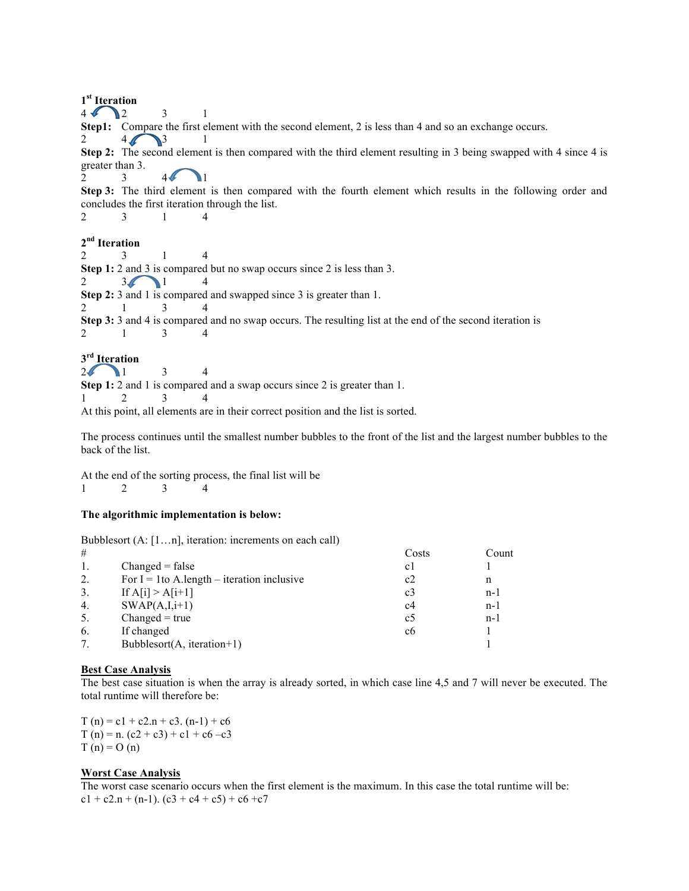**1st Iteration**  $4 \bigodot 2$   $3 \qquad 1$ **Step1:** Compare the first element with the second element, 2 is less than 4 and so an exchange occurs. 2  $4\sqrt{3}$ **Step 2:** The second element is then compared with the third element resulting in 3 being swapped with 4 since 4 is greater than 3. 2 3 4  $\sqrt{1}$ **Step 3:** The third element is then compared with the fourth element which results in the following order and concludes the first iteration through the list. 2 3 1 4 **2nd Iteration** 2 3 1 4 **Step 1:** 2 and 3 is compared but no swap occurs since 2 is less than 3. 2  $3\sqrt{1}$  4 **Step 2:** 3 and 1 is compared and swapped since 3 is greater than 1. 2 1 3 4 **Step 3:** 3 and 4 is compared and no swap occurs. The resulting list at the end of the second iteration is 2 1 3 4 **3rd Iteration**  $2$  1 3 4 **Step 1:** 2 and 1 is compared and a swap occurs since 2 is greater than 1.

1 2 3 4

At this point, all elements are in their correct position and the list is sorted.

The process continues until the smallest number bubbles to the front of the list and the largest number bubbles to the back of the list.

At the end of the sorting process, the final list will be 1 2 3 4

#### **The algorithmic implementation is below:**

Bubblesort (A: [1…n], iteration: increments on each call)

| Count |
|-------|
|       |
| n     |
| $n-1$ |
| $n-1$ |
| $n-1$ |
|       |
|       |
|       |

#### **Best Case Analysis**

The best case situation is when the array is already sorted, in which case line 4,5 and 7 will never be executed. The total runtime will therefore be:

 $T(n) = c1 + c2.n + c3. (n-1) + c6$  $T (n) = n. (c2 + c3) + c1 + c6 - c3$  $T(n) = O(n)$ 

#### **Worst Case Analysis**

The worst case scenario occurs when the first element is the maximum. In this case the total runtime will be:  $c1 + c2.n + (n-1)$ .  $(c3 + c4 + c5) + c6 + c7$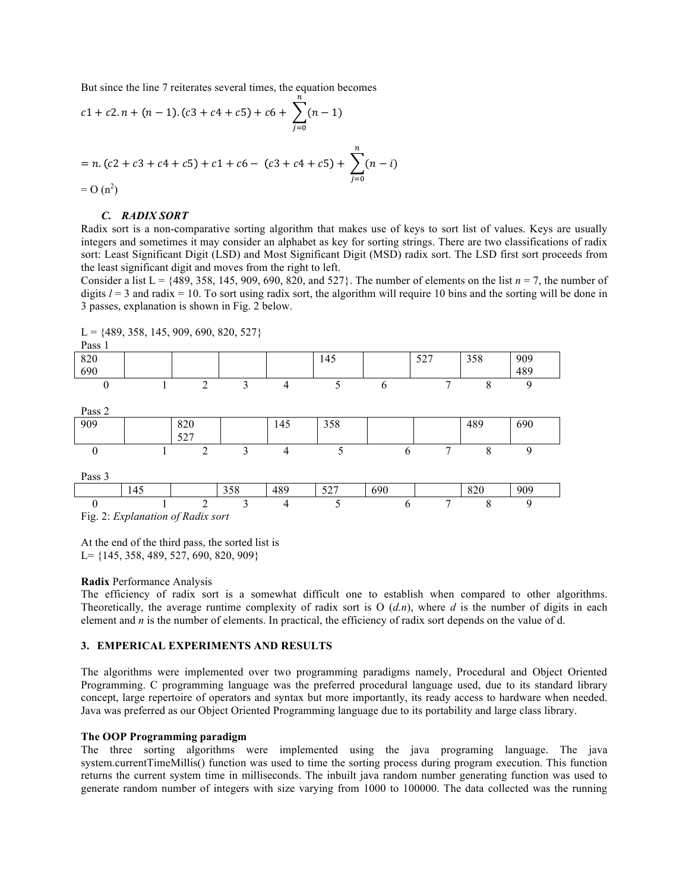But since the line 7 reiterates several times, the equation becomes

$$
c1 + c2 \cdot n + (n - 1) \cdot (c3 + c4 + c5) + c6 + \sum_{j=0}^{n} (n - 1)
$$
  
= n \cdot (c2 + c3 + c4 + c5) + c1 + c6 - (c3 + c4 + c5) + \sum\_{j=0}^{n} (n - i)  
= O (n<sup>2</sup>)

#### *C. RADIX SORT*

Radix sort is a non-comparative sorting algorithm that makes use of keys to sort list of values. Keys are usually integers and sometimes it may consider an alphabet as key for sorting strings. There are two classifications of radix sort: Least Significant Digit (LSD) and Most Significant Digit (MSD) radix sort. The LSD first sort proceeds from the least significant digit and moves from the right to left.

Consider a list  $L = \{489, 358, 145, 909, 690, 820, \text{ and } 527\}$ . The number of elements on the list  $n = 7$ , the number of digits  $l = 3$  and radix = 10. To sort using radix sort, the algorithm will require 10 bins and the sorting will be done in 3 passes, explanation is shown in Fig. 2 below.

Pass 1 820 690 145 | 527 | 358 | 909 489 0 1 2 3 4 5 6 7 8 9 Pass 2 909 | 820 527 145 358 489 690 0 1 2 3 4 5 6 7 8 9 Pass 3 145 | 358 | 489 | 527 | 690 | | 820 | 909 0 1 2 3 4 5 6 7 8 9 Fig. 2: *Explanation of Radix sort*

 $L = \{489, 358, 145, 909, 690, 820, 527\}$ 

At the end of the third pass, the sorted list is L= {145, 358, 489, 527, 690, 820, 909}

#### **Radix** Performance Analysis

The efficiency of radix sort is a somewhat difficult one to establish when compared to other algorithms. Theoretically, the average runtime complexity of radix sort is O (*d.n*), where *d* is the number of digits in each element and *n* is the number of elements. In practical, the efficiency of radix sort depends on the value of d.

# **3. EMPERICAL EXPERIMENTS AND RESULTS**

The algorithms were implemented over two programming paradigms namely, Procedural and Object Oriented Programming. C programming language was the preferred procedural language used, due to its standard library concept, large repertoire of operators and syntax but more importantly, its ready access to hardware when needed. Java was preferred as our Object Oriented Programming language due to its portability and large class library.

#### **The OOP Programming paradigm**

The three sorting algorithms were implemented using the java programing language. The java system.currentTimeMillis() function was used to time the sorting process during program execution. This function returns the current system time in milliseconds. The inbuilt java random number generating function was used to generate random number of integers with size varying from 1000 to 100000. The data collected was the running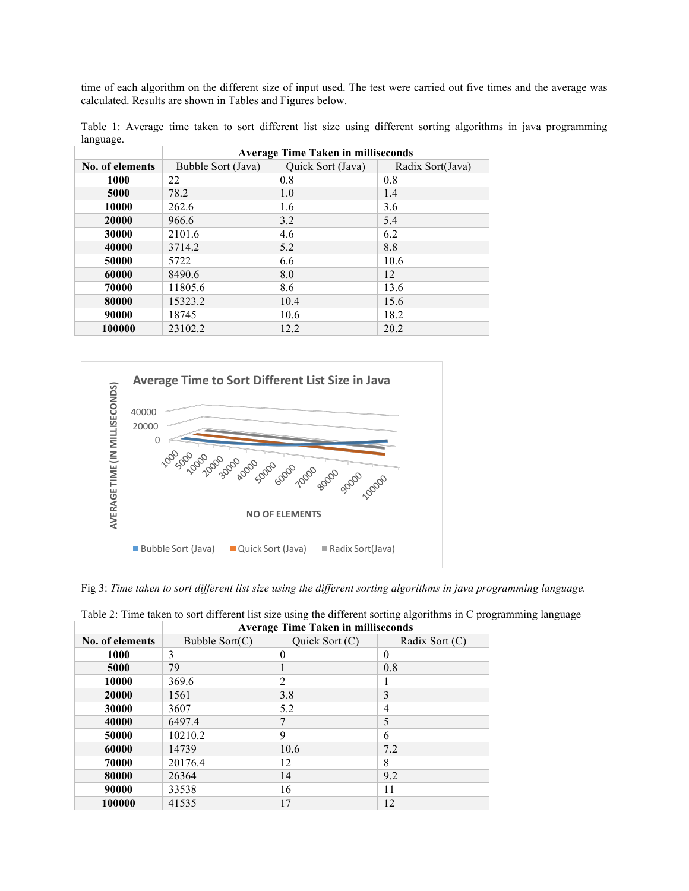time of each algorithm on the different size of input used. The test were carried out five times and the average was calculated. Results are shown in Tables and Figures below.

| Table 1: Average time taken to sort different list size using different sorting algorithms in java programming |  |  |  |  |  |  |  |
|----------------------------------------------------------------------------------------------------------------|--|--|--|--|--|--|--|
| language.                                                                                                      |  |  |  |  |  |  |  |

|                 | <b>Average Time Taken in milliseconds</b> |                   |                  |  |  |  |  |  |
|-----------------|-------------------------------------------|-------------------|------------------|--|--|--|--|--|
| No. of elements | Bubble Sort (Java)                        | Quick Sort (Java) | Radix Sort(Java) |  |  |  |  |  |
| 1000            | 22                                        | 0.8               | 0.8              |  |  |  |  |  |
| 5000            | 78.2                                      | 1.0               | 1.4              |  |  |  |  |  |
| 10000           | 262.6                                     | 1.6               | 3.6              |  |  |  |  |  |
| 20000           | 966.6                                     | 3.2               | 5.4              |  |  |  |  |  |
| 30000           | 2101.6                                    | 4.6               | 6.2              |  |  |  |  |  |
| 40000           | 3714.2                                    | 5.2               | 8.8              |  |  |  |  |  |
| 50000           | 5722                                      | 6.6               | 10.6             |  |  |  |  |  |
| 60000           | 8490.6                                    | 8.0               | 12               |  |  |  |  |  |
| 70000           | 11805.6                                   | 8.6               | 13.6             |  |  |  |  |  |
| 80000           | 15323.2                                   | 10.4              | 15.6             |  |  |  |  |  |
| 90000           | 18745                                     | 10.6              | 18.2             |  |  |  |  |  |
| 100000          | 23102.2                                   | 12.2              | 20.2             |  |  |  |  |  |



Fig 3: *Time taken to sort different list size using the different sorting algorithms in java programming language.*

|                 | <b>Average Time Taken in milliseconds</b> |                |                |  |  |  |  |  |
|-----------------|-------------------------------------------|----------------|----------------|--|--|--|--|--|
| No. of elements | Bubble $Sort(C)$                          | Quick Sort (C) | Radix Sort (C) |  |  |  |  |  |
| 1000            | 3                                         | $\Omega$       | $\theta$       |  |  |  |  |  |
| 5000            | 79                                        | 1              | 0.8            |  |  |  |  |  |
| 10000           | 369.6                                     | 2              |                |  |  |  |  |  |
| 20000           | 1561                                      | 3.8            | 3              |  |  |  |  |  |
| 30000           | 3607                                      | 5.2            | 4              |  |  |  |  |  |
| 40000           | 6497.4                                    | 7              | 5              |  |  |  |  |  |
| 50000           | 10210.2                                   | 9              | 6              |  |  |  |  |  |
| 60000           | 14739                                     | 10.6           | 7.2            |  |  |  |  |  |
| 70000           | 20176.4                                   | 12             | 8              |  |  |  |  |  |
| 80000           | 26364                                     | 14             | 9.2            |  |  |  |  |  |
| 90000           | 33538                                     | 16             | 11             |  |  |  |  |  |
| 100000          | 41535                                     | 17             | 12             |  |  |  |  |  |

Table 2: Time taken to sort different list size using the different sorting algorithms in C programming language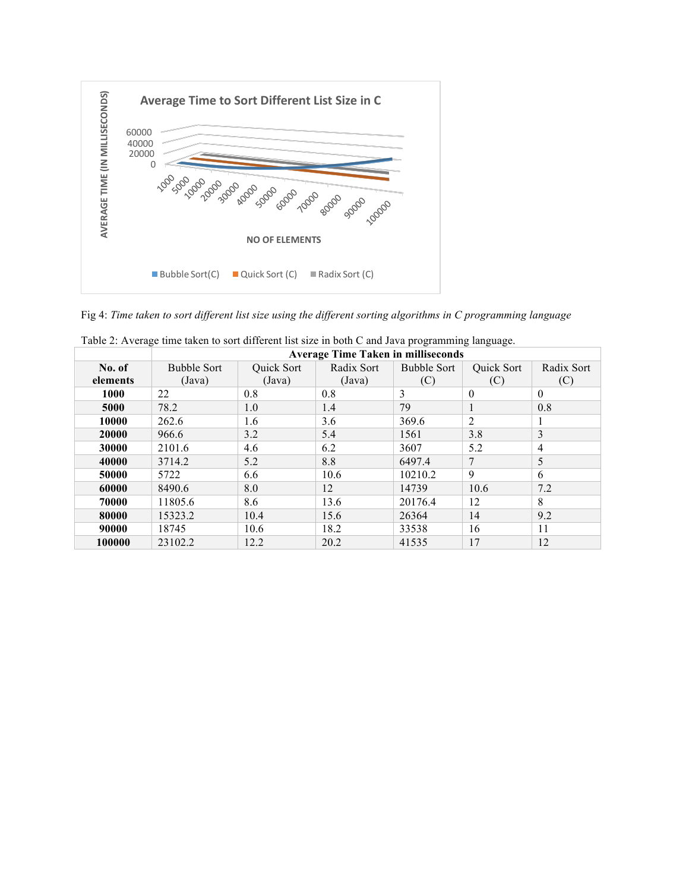

Fig 4: *Time taken to sort different list size using the different sorting algorithms in C programming language*

|          | <b>Average Time Taken in milliseconds</b> |                                 |        |                    |                |            |  |  |
|----------|-------------------------------------------|---------------------------------|--------|--------------------|----------------|------------|--|--|
| No. of   | <b>Bubble Sort</b>                        | Radix Sort<br><b>Ouick Sort</b> |        | <b>Bubble Sort</b> | Quick Sort     | Radix Sort |  |  |
| elements | (Java)                                    | (Java)                          | (Java) | (C)                | (C)            | (C)        |  |  |
| 1000     | 22                                        | 0.8                             | 0.8    | 3                  | $\mathbf{0}$   | $\theta$   |  |  |
| 5000     | 78.2                                      | 1.0                             | 1.4    | 79                 | $\mathbf{1}$   | 0.8        |  |  |
| 10000    | 262.6                                     | 1.6                             | 3.6    | 369.6              | $\overline{2}$ | 1          |  |  |
| 20000    | 966.6                                     | 3.2                             | 5.4    | 1561               | 3.8            | 3          |  |  |
| 30000    | 2101.6                                    | 4.6                             | 6.2    | 3607               | 5.2            | 4          |  |  |
| 40000    | 3714.2                                    | 5.2                             | 8.8    | 6497.4             | 7              | 5          |  |  |
| 50000    | 5722                                      | 6.6                             | 10.6   | 10210.2            | 9              | 6          |  |  |
| 60000    | 8490.6                                    | 8.0                             | 12     | 14739              | 10.6           | 7.2        |  |  |
| 70000    | 11805.6                                   | 8.6                             | 13.6   | 20176.4            | 12             | 8          |  |  |
| 80000    | 15323.2                                   | 10.4                            | 15.6   | 26364              | 14             | 9.2        |  |  |
| 90000    | 18745                                     | 10.6                            | 18.2   | 33538              | 16             | 11         |  |  |
| 100000   | 23102.2                                   | 12.2                            | 20.2   | 41535              | 17             | 12         |  |  |

| Table 2: Average time taken to sort different list size in both C and Java programming language. |  |  |  |
|--------------------------------------------------------------------------------------------------|--|--|--|
|--------------------------------------------------------------------------------------------------|--|--|--|